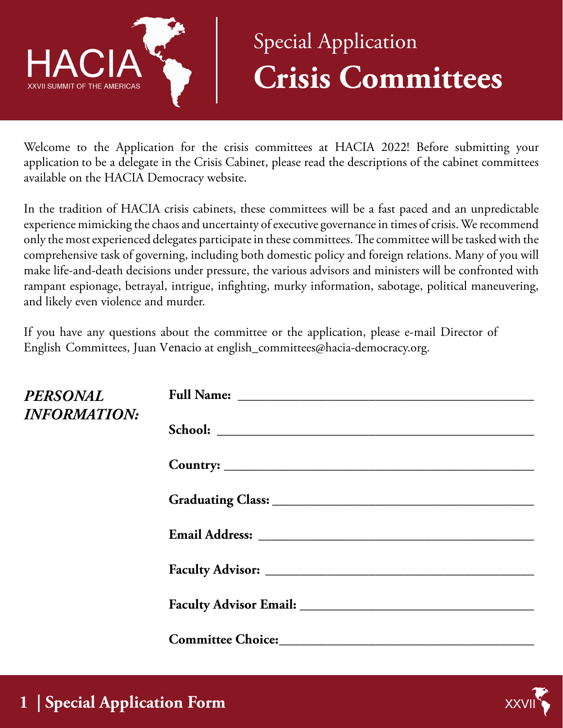

## Special Application **Crisis Committees**

Welcome to the Application for the crisis committees at HACIA 2022! Before submitting your application to be a delegate in the Crisis Cabinet, please read the descriptions of the cabinet committees available on the HACIA Democracy website.

In the tradition of HACIA crisis cabinets, these committees will be a fast paced and an unpredictable experience mimicking the chaos and uncertainty of executive governance in times of crisis. We recommend only the most experienced delegates participate in these committees. The committee will be tasked with the comprehensive task of governing, including both domestic policy and foreign relations. Many of you will make life-and-death decisions under pressure, the various advisors and ministers will be confronted with rampant espionage, betrayal, intrigue, infighting, murky information, sabotage, political maneuvering, and likely even violence and murder.

If you have any questions about the committee or the application, please e-mail Director of English Committees, Juan Venacio at english\_committees@hacia-democracy.org.

| PERSONAL<br><b>INFORMATION:</b> |                                             |
|---------------------------------|---------------------------------------------|
|                                 |                                             |
|                                 |                                             |
|                                 |                                             |
|                                 |                                             |
|                                 |                                             |
|                                 |                                             |
|                                 | Committee Choice: Choice: Committee Choice: |